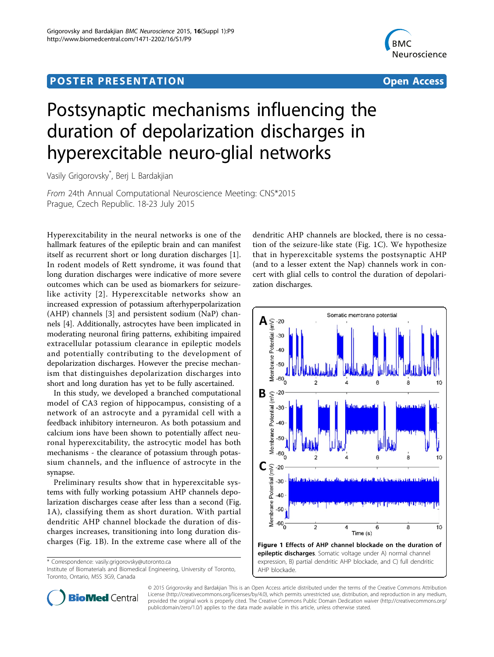## Post Experimental Police in the St English Police in the St English Police in the St English Police in the St<br>Police in the St English Police in the St English Police in the St English Police in the St English Police in



# Postsynaptic mechanisms influencing the duration of depolarization discharges in hyperexcitable neuro-glial networks

Vasily Grigorovsky\* , Berj L Bardakjian

From 24th Annual Computational Neuroscience Meeting: CNS\*2015 Prague, Czech Republic. 18-23 July 2015

Hyperexcitability in the neural networks is one of the hallmark features of the epileptic brain and can manifest itself as recurrent short or long duration discharges [\[1](#page-1-0)]. In rodent models of Rett syndrome, it was found that long duration discharges were indicative of more severe outcomes which can be used as biomarkers for seizurelike activity [[2](#page-1-0)]. Hyperexcitable networks show an increased expression of potassium afterhyperpolarization (AHP) channels [\[3](#page-1-0)] and persistent sodium (NaP) channels [\[4](#page-1-0)]. Additionally, astrocytes have been implicated in moderating neuronal firing patterns, exhibiting impaired extracellular potassium clearance in epileptic models and potentially contributing to the development of depolarization discharges. However the precise mechanism that distinguishes depolarization discharges into short and long duration has yet to be fully ascertained.

In this study, we developed a branched computational model of CA3 region of hippocampus, consisting of a network of an astrocyte and a pyramidal cell with a feedback inhibitory interneuron. As both potassium and calcium ions have been shown to potentially affect neuronal hyperexcitability, the astrocytic model has both mechanisms - the clearance of potassium through potassium channels, and the influence of astrocyte in the synapse.

Preliminary results show that in hyperexcitable systems with fully working potassium AHP channels depolarization discharges cease after less than a second (Fig. 1A), classifying them as short duration. With partial dendritic AHP channel blockade the duration of discharges increases, transitioning into long duration discharges (Fig. 1B). In the extreme case where all of the

\* Correspondence: [vasily.grigorovsky@utoronto.ca](mailto:vasily.grigorovsky@utoronto.ca)

Institute of Biomaterials and Biomedical Engineering, University of Toronto, Toronto, Ontario, M5S 3G9, Canada

dendritic AHP channels are blocked, there is no cessation of the seizure-like state (Fig. 1C). We hypothesize that in hyperexcitable systems the postsynaptic AHP (and to a lesser extent the Nap) channels work in concert with glial cells to control the duration of depolarization discharges.





© 2015 Grigorovsky and Bardakjian This is an Open Access article distributed under the terms of the Creative Commons Attribution License [\(http://creativecommons.org/licenses/by/4.0](http://creativecommons.org/licenses/by/4.0)), which permits unrestricted use, distribution, and reproduction in any medium, provided the original work is properly cited. The Creative Commons Public Domain Dedication waiver ([http://creativecommons.org/](http://creativecommons.org/publicdomain/zero/1.0/) [publicdomain/zero/1.0/](http://creativecommons.org/publicdomain/zero/1.0/)) applies to the data made available in this article, unless otherwise stated.